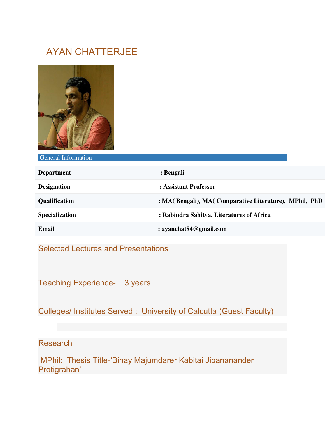## AYAN CHATTERJEE



General Information

| <b>Department</b>     | : Bengali                                             |
|-----------------------|-------------------------------------------------------|
| <b>Designation</b>    | : Assistant Professor                                 |
| <b>Qualification</b>  | : MA(Bengali), MA(Comparative Literature), MPhil, PhD |
| <b>Specialization</b> | : Rabindra Sahitya, Literatures of Africa             |
| Email                 | : ayanchat $84@$ gmail.com                            |

Selected Lectures and Presentations

Teaching Experience- 3 years

Colleges/ Institutes Served : University of Calcutta (Guest Faculty)

Research

 MPhil: Thesis Title-'Binay Majumdarer Kabitai Jibananander Protigrahan'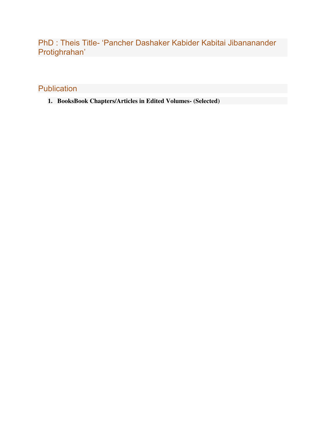PhD : Theis Title- 'Pancher Dashaker Kabider Kabitai Jibananander Protighrahan'

**Publication** 

**1. BooksBook Chapters/Articles in Edited Volumes- (Selected)**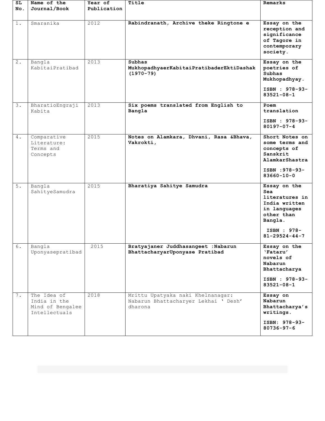| SL<br>No. | Name of the<br>Journal/Book                                      | Year of<br>Publication | Title                                                                                | Remarks                                                                                                                                 |
|-----------|------------------------------------------------------------------|------------------------|--------------------------------------------------------------------------------------|-----------------------------------------------------------------------------------------------------------------------------------------|
| $1$ .     | Smaranika                                                        | 2012                   | Rabindranath, Archive theke Ringtone e                                               | Essay on the<br>reception and<br>significance<br>of Tagore in<br>contemporary<br>society.                                               |
| $2$ .     | Bangla<br>KabitaiPratibad                                        | 2013                   | Subhas<br>MukhopadhyaerKabitaiPratibaderEktiDashak<br>$(1970 - 79)$                  | Essay on the<br>poetries of<br><b>Subhas</b><br>Mukhopadhyay.<br>ISBN : 978-93-<br>$83521 - 08 - 1$                                     |
| 3.        | BharatioEngraji<br>Kabita                                        | 2013                   | Six poems translated from English to<br>Bangla                                       | Poem<br>translation<br>ISBN : 978-93-<br>$80197 - 07 - 4$                                                                               |
| 4.        | Comparative<br>Literature:<br>Terms and<br>Concepts              | 2015                   | Notes on Alamkara, Dhvani, Rasa & Bhava,<br>Vakrokti,                                | Short Notes on<br>some terms and<br>concepts of<br>Sanskrit<br>AlamkarShastra<br>ISBN : 978-93-<br>$83660 - 10 - 0$                     |
| $5.$      | Bangla<br>SahityeSamudra                                         | 2015                   | Bharatiya Sahitye Samudra                                                            | Essay on the<br>Sea<br>literatures in<br>India written<br>in languages<br>other than<br>Bangla.<br>ISBN : 978-<br>$81 - 29524 - 44 - 7$ |
| 6.        | Bangla<br>Uponyasepratibad                                       | 2015                   | Bratyajaner Juddhasangeet : Nabarun<br>BhattacharyarUponyase Pratibad                | Essay on the<br>'Fataru'<br>novels of<br>Nabarun<br>Bhattacharya<br>ISBN : 978-93-<br>$83521 - 08 - 1$                                  |
| 7.        | The Idea of<br>India in the<br>Mind of Bengalee<br>Intellectuals | 2018                   | Mrittu Upatyaka naki Khelnanagar:<br>Nabarun Bhattacharyer Lekhai ' Desh'<br>dharona | Essay on<br>Nabarun<br>Bhattacharya's<br>writings.<br>ISBN: 978-93-<br>$80736 - 97 - 6$                                                 |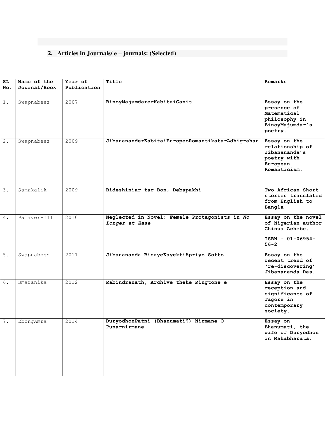## **2. Articles in Journals/ e – journals: (Selected)**

| SL               | Name of the  | Year of     | Title                                                           | Remarks                                                                                     |
|------------------|--------------|-------------|-----------------------------------------------------------------|---------------------------------------------------------------------------------------------|
| No.              | Journal/Book | Publication |                                                                 |                                                                                             |
|                  |              |             |                                                                 |                                                                                             |
| $1$ .            | Swapnabeez   | 2007        | BinoyMajumdarerKabitaiGanit                                     | Essay on the<br>presence of<br>Matematical<br>philosophy in<br>BinoyMajumdar's<br>poetry.   |
| $\overline{2}$ . | Swapnabeez   | 2009        | JibanananderKabitaiEuropeoRomantikatarAdhigrahan                | Essay on the<br>relationship of<br>Jibanananda's<br>poetry with<br>European<br>Romanticism. |
| 3.               | Samakalik    | 2009        | Bideshiniar tar Bon, Debapakhi                                  | Two African Short<br>stories translated<br>from English to<br>Bangla                        |
| 4.               | Palaver-III  | 2010        | Neglected in Novel: Female Protagonists in No<br>Longer at Ease | Essay on the novel<br>of Nigerian author<br>Chinua Achebe.<br>ISBN : 01-06954-<br>$56 - 2$  |
| 5.               | Swapnabeez   | 2011        | Jibanananda BisayeKayektiApriyo Sotto                           | Essay on the<br>recent trend of<br>'re-discovering'<br>Jibanananda Das.                     |
| 6.               | Smaranika    | 2012        | Rabindranath, Archive theke Ringtone e                          | Essay on the<br>reception and<br>significance of<br>Tagore in<br>contemporary<br>society.   |
| 7.               | EbongAmra    | 2014        | DuryodhonPatni (Bhanumati?) Nirmane O<br>Punarnirmane           | Essay on<br>Bhanumati, the<br>wife of Duryodhon<br>in Mahabharata.                          |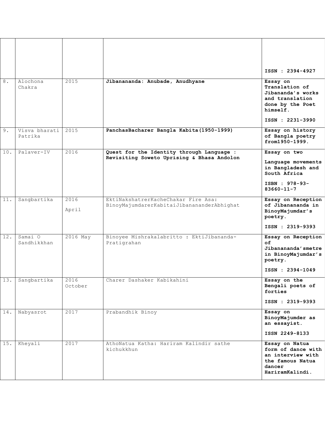|     |                          |                 |                                                                                         | ISSN: 2394-4927                                                                                                       |
|-----|--------------------------|-----------------|-----------------------------------------------------------------------------------------|-----------------------------------------------------------------------------------------------------------------------|
| 8.  | Alochona<br>Chakra       | 2015            | Jibanananda: Anubade, Anudhyane                                                         | Essay on<br>Translation of<br>Jibananda's works<br>and translation<br>done by the Poet<br>himself.<br>ISSN: 2231-3990 |
| 9.  | Visva bharati<br>Patrika | 2015            | PanchasBacharer Bangla Kabita (1950-1999)                                               | Essay on history<br>of Bangla poetry<br>from1950-1999.                                                                |
| 10. | Palaver-IV               | 2016            | Quest for the Identity through Language :<br>Revisiting Soweto Uprising & Bhasa Andolon | Essay on two<br>Language movements<br>in Bangladesh and<br>South Africa<br>ISBN : 978-93-<br>$83660 - 11 - 7$         |
| 11. | Sangbartika              | 2016<br>April   | EktiNakshatrerKacheChakar Fire Asa:<br>BinoyMajumdarerKabitaiJibanananderAbhighat       | Essay on Reception<br>of Jibanananda in<br>BinoyMajumdar's<br>poetry.<br>ISSN: 2319-9393                              |
| 12. | Samai O<br>Sandhikkhan   | 2016 May        | Binoyee Mishrakalabritto : EktiJibananda-<br>Pratigrahan                                | Essay on Reception<br>of<br>Jibanananda'smetre<br>in BinoyMajumdar's<br>poetry.<br>ISSN: 2394-1049                    |
| 13. | Sangbartika              | 2016<br>October | Charer Dashaker Kabikahini                                                              | Essay on the<br>Bengali poets of<br>forties<br>ISSN : 2319-9393                                                       |
| 14. | Nabyasrot                | 2017            | Prabandhik Binoy                                                                        | Essay on<br>BinoyMajumder as<br>an essayist.<br>ISSN 2249-8133                                                        |
| 15. | Kheyali                  | 2017            | AthoNatua Katha: Hariram Kalindir sathe<br>kichukkhun                                   | Essay on Natua<br>form of dance with<br>an interview with<br>the famous Natua<br>dancer<br>HariramKalindi.            |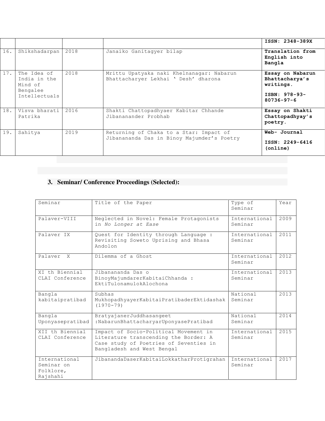|     |                                                                     |      |                                                                                       | ISSN: 2348-389X                                                                      |
|-----|---------------------------------------------------------------------|------|---------------------------------------------------------------------------------------|--------------------------------------------------------------------------------------|
| 16. | Shikshadarpan                                                       | 2018 | Janaiko Ganitaqyer bilap                                                              | Translation from<br>English into<br>Bangla                                           |
| 17. | The Idea of<br>India in the<br>Mind of<br>Bengalee<br>Intellectuals | 2018 | Mrittu Upatyaka naki Khelnanagar: Nabarun<br>Bhattacharyer Lekhai ' Desh' dharona     | Essay on Nabarun<br>Bhattacharya's<br>writings.<br>ISBN: 978-93-<br>$80736 - 97 - 6$ |
| 18. | Visya bharati<br>Patrika                                            | 2016 | Shakti Chattopadhyaer Kabitar Chhande<br>Jibananander Probhab                         | Essay on Shakti<br>Chattopadhyay's<br>poetry.                                        |
| 19. | Sahitya                                                             | 2019 | Returning of Chaka to a Star: Impact of<br>Jibanananda Das in Binoy Majumder's Poetry | Web- Journal<br>ISSN: 2249-6416<br>(online)                                          |

## **3. Seminar/ Conference Proceedings (Selected):**

| Seminar                                              | Title of the Paper                                                                                                                                     | Type of<br>Seminar       | Year |
|------------------------------------------------------|--------------------------------------------------------------------------------------------------------------------------------------------------------|--------------------------|------|
| Palayer-VIII                                         | Neglected in Novel: Female Protagonists<br>in No Longer at Ease                                                                                        | International<br>Seminar | 2009 |
| Palayer IX                                           | Quest for Identity through Language :<br>Revisiting Soweto Uprising and Bhasa<br>Andolon                                                               | International<br>Seminar | 2011 |
| Palaver<br>$\mathbf{x}$                              | Dilemma of a Ghost                                                                                                                                     | International<br>Seminar | 2012 |
| XI th Biennial<br>CLAI Conference                    | Jibanananda Das o<br>BinoyMajumdarerKabitaiChhanda :<br>EktiTulonamulokAlochona                                                                        | International<br>Seminar | 2013 |
| Bangla<br>kabitaipratibad                            | Subhas<br>MukhopadhyayerKabitaiPratibaderEktidashak<br>$(1970 - 79)$                                                                                   | National<br>Seminar      | 2013 |
| Bangla<br>Uponyasepratibad                           | BratyajanerJuddhasangeet<br>:NabarunBhattacharyarUponyasePratibad                                                                                      | National<br>Seminar      | 2014 |
| XII th Biennial<br>CLAI Conference                   | Impact of Socio-Political Movement in<br>Literature transcending the Border: A<br>Case study of Poetries of Seventies in<br>Bangladesh and West Bengal | International<br>Seminar | 2015 |
| International<br>Seminar on<br>Folklore,<br>Rajshahi | JibanandaDaserKabitaiLokkatharProtigrahan                                                                                                              | International<br>Seminar | 2017 |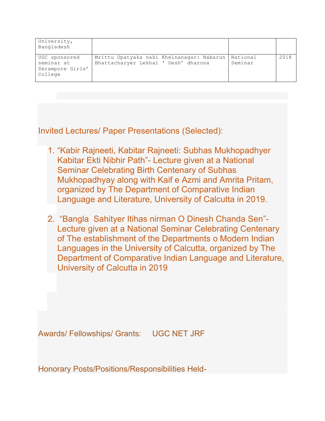| University,<br>Bangladesh                                  |                                                                                   |                     |      |
|------------------------------------------------------------|-----------------------------------------------------------------------------------|---------------------|------|
| UGC sponsored<br>seminar at<br>Serampore Girls'<br>College | Mrittu Upatyaka naki Khelnanagar: Nabarun<br>Bhattacharyer Lekhai ' Desh' dharona | National<br>Seminar | 2018 |

Invited Lectures/ Paper Presentations (Selected):

- 1. "Kabir Rajneeti, Kabitar Rajneeti: Subhas Mukhopadhyer Kabitar Ekti Nibhir Path"- Lecture given at a National Seminar Celebrating Birth Centenary of Subhas Mukhopadhyay along with Kaif e Azmi and Amrita Pritam, organized by The Department of Comparative Indian Language and Literature, University of Calcutta in 2019.
- 2. "Bangla Sahityer Itihas nirman O Dinesh Chanda Sen"- Lecture given at a National Seminar Celebrating Centenary of The establishment of the Departments o Modern Indian Languages in the University of Calcutta, organized by The Department of Comparative Indian Language and Literature, University of Calcutta in 2019

Awards/ Fellowships/ Grants: UGC NET JRF

Honorary Posts/Positions/Responsibilities Held-